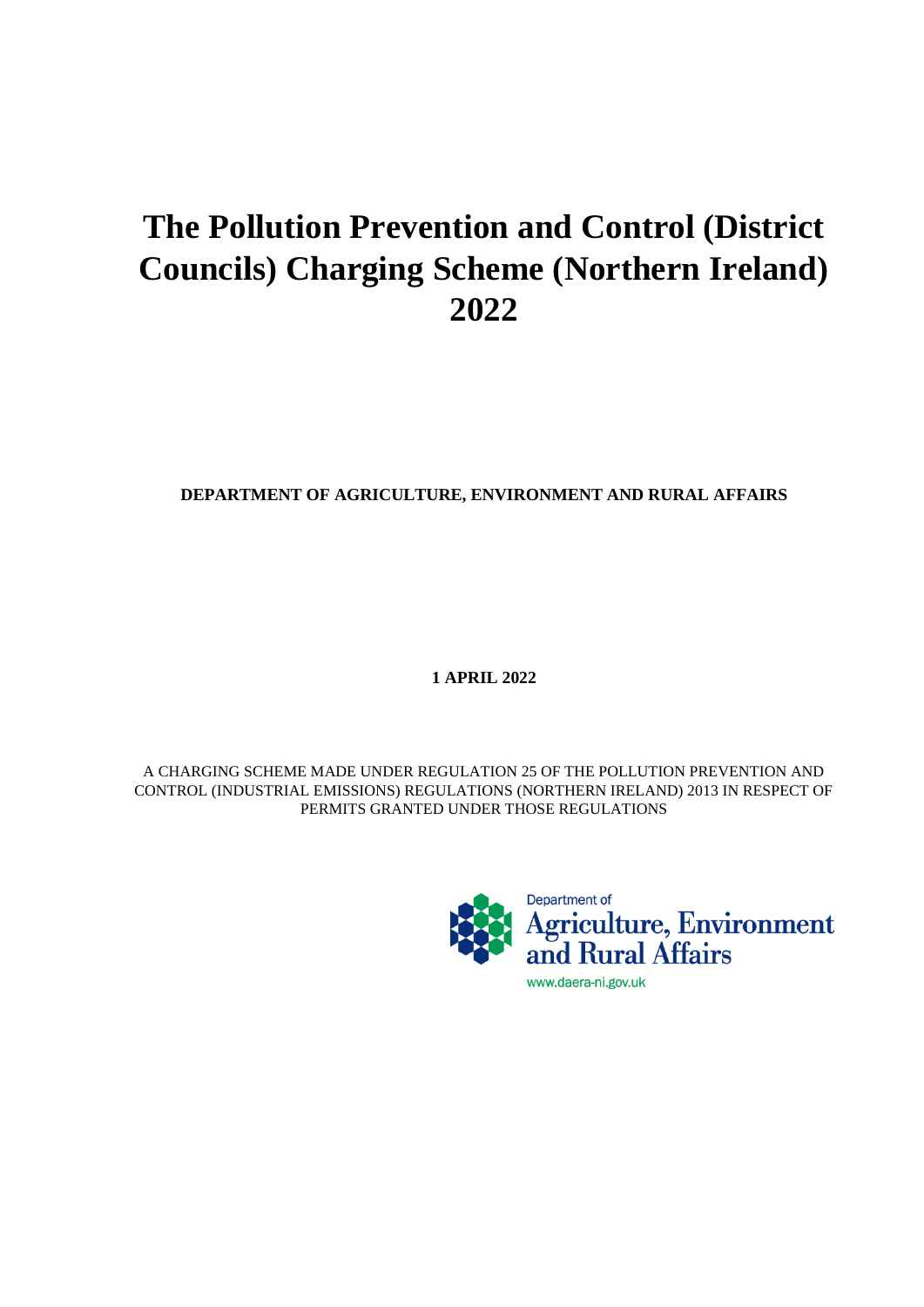# **The Pollution Prevention and Control (District Councils) Charging Scheme (Northern Ireland) 2022**

# **DEPARTMENT OF AGRICULTURE, ENVIRONMENT AND RURAL AFFAIRS**

**1 APRIL 2022**

A CHARGING SCHEME MADE UNDER REGULATION 25 OF THE POLLUTION PREVENTION AND CONTROL (INDUSTRIAL EMISSIONS) REGULATIONS (NORTHERN IRELAND) 2013 IN RESPECT OF PERMITS GRANTED UNDER THOSE REGULATIONS

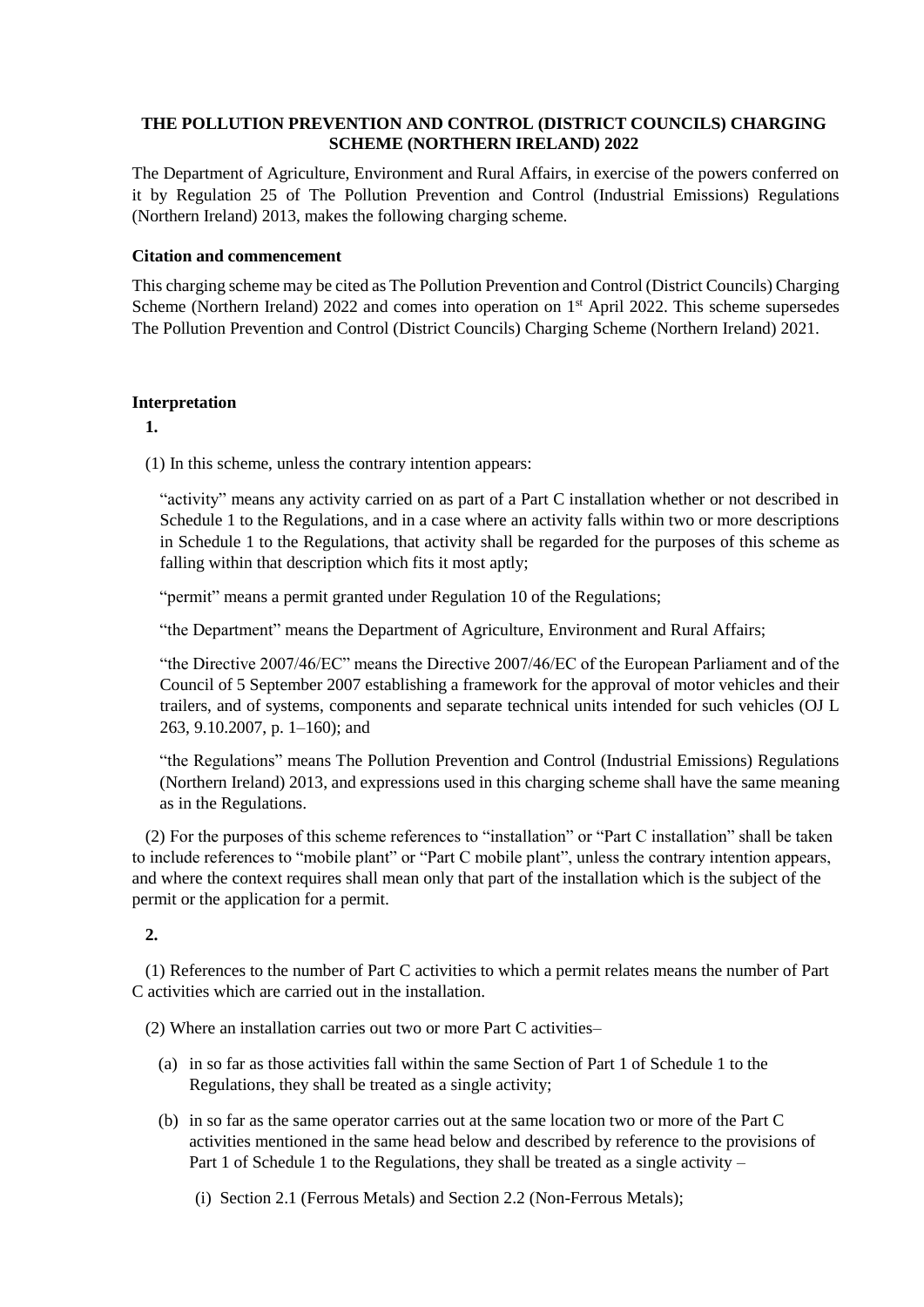# **THE POLLUTION PREVENTION AND CONTROL (DISTRICT COUNCILS) CHARGING SCHEME (NORTHERN IRELAND) 2022**

The Department of Agriculture, Environment and Rural Affairs, in exercise of the powers conferred on it by Regulation 25 of The Pollution Prevention and Control (Industrial Emissions) Regulations (Northern Ireland) 2013, makes the following charging scheme.

## **Citation and commencement**

This charging scheme may be cited as The Pollution Prevention and Control (District Councils) Charging Scheme (Northern Ireland) 2022 and comes into operation on 1<sup>st</sup> April 2022. This scheme supersedes The Pollution Prevention and Control (District Councils) Charging Scheme (Northern Ireland) 2021.

## **Interpretation**

**1.**

(1) In this scheme, unless the contrary intention appears:

"activity" means any activity carried on as part of a Part C installation whether or not described in Schedule 1 to the Regulations, and in a case where an activity falls within two or more descriptions in Schedule 1 to the Regulations, that activity shall be regarded for the purposes of this scheme as falling within that description which fits it most aptly;

"permit" means a permit granted under Regulation 10 of the Regulations;

"the Department" means the Department of Agriculture, Environment and Rural Affairs;

"the Directive 2007/46/EC" means the Directive 2007/46/EC of the European Parliament and of the Council of 5 September 2007 establishing a framework for the approval of motor vehicles and their trailers, and of systems, components and separate technical units intended for such vehicles (OJ L 263, 9.10.2007, p. 1–160); and

"the Regulations" means The Pollution Prevention and Control (Industrial Emissions) Regulations (Northern Ireland) 2013, and expressions used in this charging scheme shall have the same meaning as in the Regulations.

(2) For the purposes of this scheme references to "installation" or "Part C installation" shall be taken to include references to "mobile plant" or "Part C mobile plant", unless the contrary intention appears, and where the context requires shall mean only that part of the installation which is the subject of the permit or the application for a permit.

# **2.**

(1) References to the number of Part C activities to which a permit relates means the number of Part C activities which are carried out in the installation.

- (2) Where an installation carries out two or more Part C activities–
	- (a) in so far as those activities fall within the same Section of Part 1 of Schedule 1 to the Regulations, they shall be treated as a single activity;
	- (b) in so far as the same operator carries out at the same location two or more of the Part C activities mentioned in the same head below and described by reference to the provisions of Part 1 of Schedule 1 to the Regulations, they shall be treated as a single activity –
		- (i) Section 2.1 (Ferrous Metals) and Section 2.2 (Non-Ferrous Metals);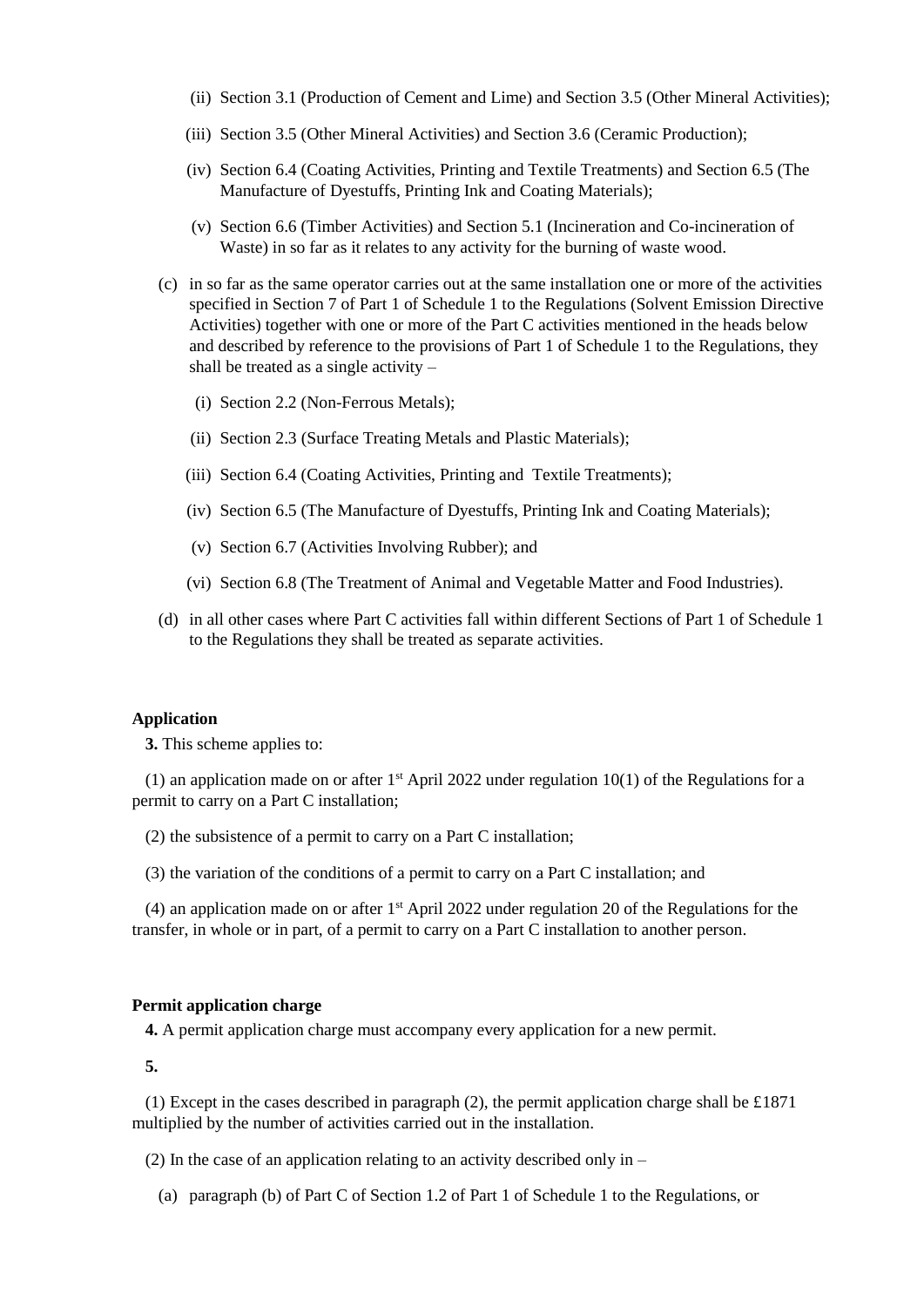- (ii) Section 3.1 (Production of Cement and Lime) and Section 3.5 (Other Mineral Activities);
- (iii) Section 3.5 (Other Mineral Activities) and Section 3.6 (Ceramic Production);
- (iv) Section 6.4 (Coating Activities, Printing and Textile Treatments) and Section 6.5 (The Manufacture of Dyestuffs, Printing Ink and Coating Materials);
- (v) Section 6.6 (Timber Activities) and Section 5.1 (Incineration and Co-incineration of Waste) in so far as it relates to any activity for the burning of waste wood.
- (c) in so far as the same operator carries out at the same installation one or more of the activities specified in Section 7 of Part 1 of Schedule 1 to the Regulations (Solvent Emission Directive Activities) together with one or more of the Part C activities mentioned in the heads below and described by reference to the provisions of Part 1 of Schedule 1 to the Regulations, they shall be treated as a single activity –
	- (i) Section 2.2 (Non-Ferrous Metals);
	- (ii) Section 2.3 (Surface Treating Metals and Plastic Materials);
	- (iii) Section 6.4 (Coating Activities, Printing and Textile Treatments);
	- (iv) Section 6.5 (The Manufacture of Dyestuffs, Printing Ink and Coating Materials);
	- (v) Section 6.7 (Activities Involving Rubber); and
	- (vi) Section 6.8 (The Treatment of Animal and Vegetable Matter and Food Industries).
- (d) in all other cases where Part C activities fall within different Sections of Part 1 of Schedule 1 to the Regulations they shall be treated as separate activities.

#### **Application**

**3.** This scheme applies to:

(1) an application made on or after  $1<sup>st</sup>$  April 2022 under regulation 10(1) of the Regulations for a permit to carry on a Part C installation;

(2) the subsistence of a permit to carry on a Part C installation;

(3) the variation of the conditions of a permit to carry on a Part C installation; and

(4) an application made on or after  $1<sup>st</sup>$  April 2022 under regulation 20 of the Regulations for the transfer, in whole or in part, of a permit to carry on a Part C installation to another person.

#### **Permit application charge**

**4.** A permit application charge must accompany every application for a new permit.

**5.**

(1) Except in the cases described in paragraph (2), the permit application charge shall be £1871 multiplied by the number of activities carried out in the installation.

(2) In the case of an application relating to an activity described only in –

(a) paragraph (b) of Part C of Section 1.2 of Part 1 of Schedule 1 to the Regulations, or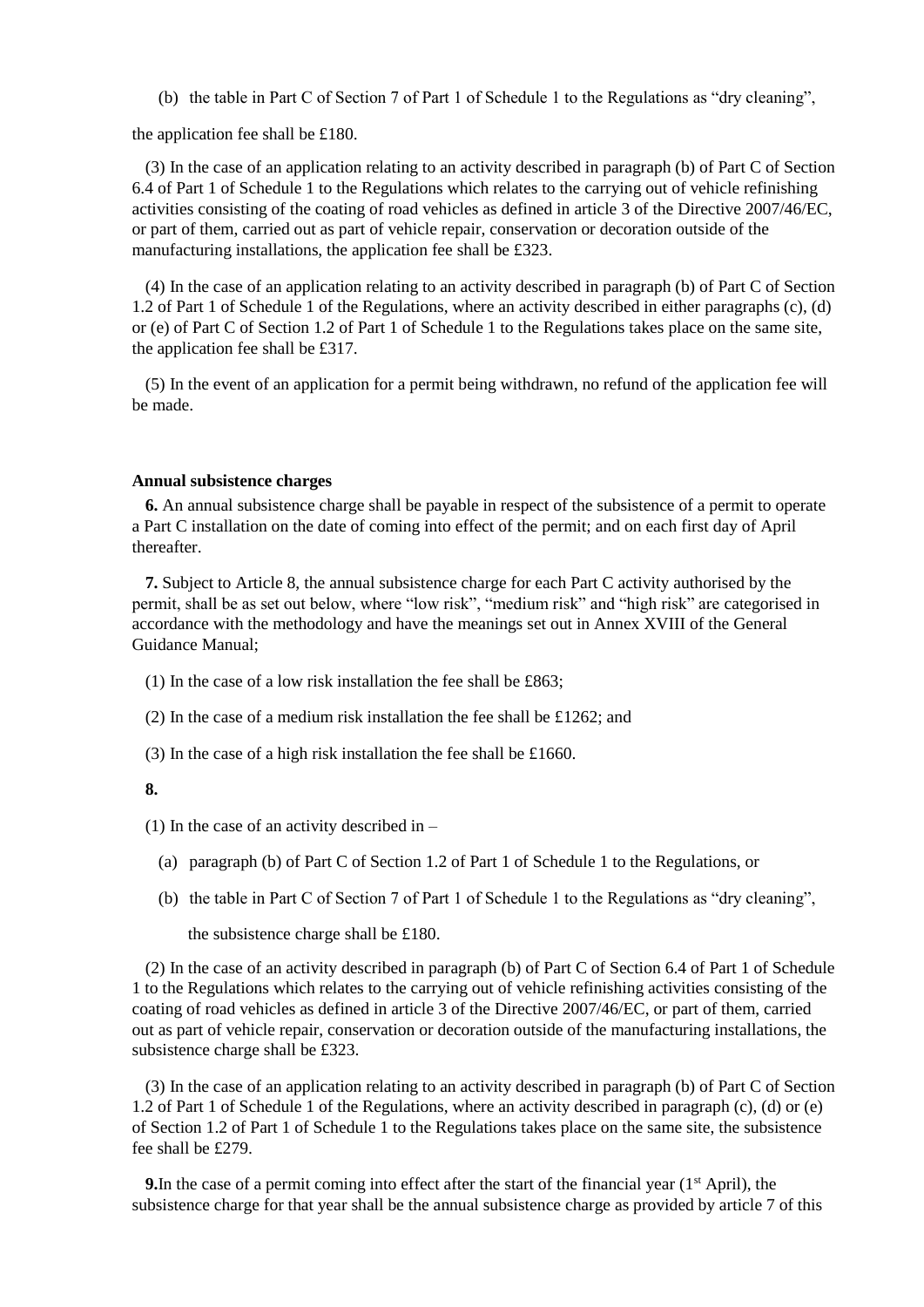(b) the table in Part C of Section 7 of Part 1 of Schedule 1 to the Regulations as "dry cleaning",

the application fee shall be £180.

(3) In the case of an application relating to an activity described in paragraph (b) of Part C of Section 6.4 of Part 1 of Schedule 1 to the Regulations which relates to the carrying out of vehicle refinishing activities consisting of the coating of road vehicles as defined in article 3 of the Directive 2007/46/EC, or part of them, carried out as part of vehicle repair, conservation or decoration outside of the manufacturing installations, the application fee shall be £323.

(4) In the case of an application relating to an activity described in paragraph (b) of Part C of Section 1.2 of Part 1 of Schedule 1 of the Regulations, where an activity described in either paragraphs (c), (d) or (e) of Part C of Section 1.2 of Part 1 of Schedule 1 to the Regulations takes place on the same site, the application fee shall be £317.

(5) In the event of an application for a permit being withdrawn, no refund of the application fee will be made.

#### **Annual subsistence charges**

**6.** An annual subsistence charge shall be payable in respect of the subsistence of a permit to operate a Part C installation on the date of coming into effect of the permit; and on each first day of April thereafter.

**7.** Subject to Article 8, the annual subsistence charge for each Part C activity authorised by the permit, shall be as set out below, where "low risk", "medium risk" and "high risk" are categorised in accordance with the methodology and have the meanings set out in Annex XVIII of the General Guidance Manual;

- (1) In the case of a low risk installation the fee shall be £863;
- (2) In the case of a medium risk installation the fee shall be £1262; and
- (3) In the case of a high risk installation the fee shall be £1660.

#### **8.**

(1) In the case of an activity described in  $-$ 

- (a) paragraph (b) of Part C of Section 1.2 of Part 1 of Schedule 1 to the Regulations, or
- (b) the table in Part C of Section 7 of Part 1 of Schedule 1 to the Regulations as "dry cleaning",

the subsistence charge shall be £180.

(2) In the case of an activity described in paragraph (b) of Part C of Section 6.4 of Part 1 of Schedule 1 to the Regulations which relates to the carrying out of vehicle refinishing activities consisting of the coating of road vehicles as defined in article 3 of the Directive 2007/46/EC, or part of them, carried out as part of vehicle repair, conservation or decoration outside of the manufacturing installations, the subsistence charge shall be £323.

(3) In the case of an application relating to an activity described in paragraph (b) of Part C of Section 1.2 of Part 1 of Schedule 1 of the Regulations, where an activity described in paragraph (c), (d) or (e) of Section 1.2 of Part 1 of Schedule 1 to the Regulations takes place on the same site, the subsistence fee shall be £279.

**9.** In the case of a permit coming into effect after the start of the financial year  $(1<sup>st</sup>$  April), the subsistence charge for that year shall be the annual subsistence charge as provided by article 7 of this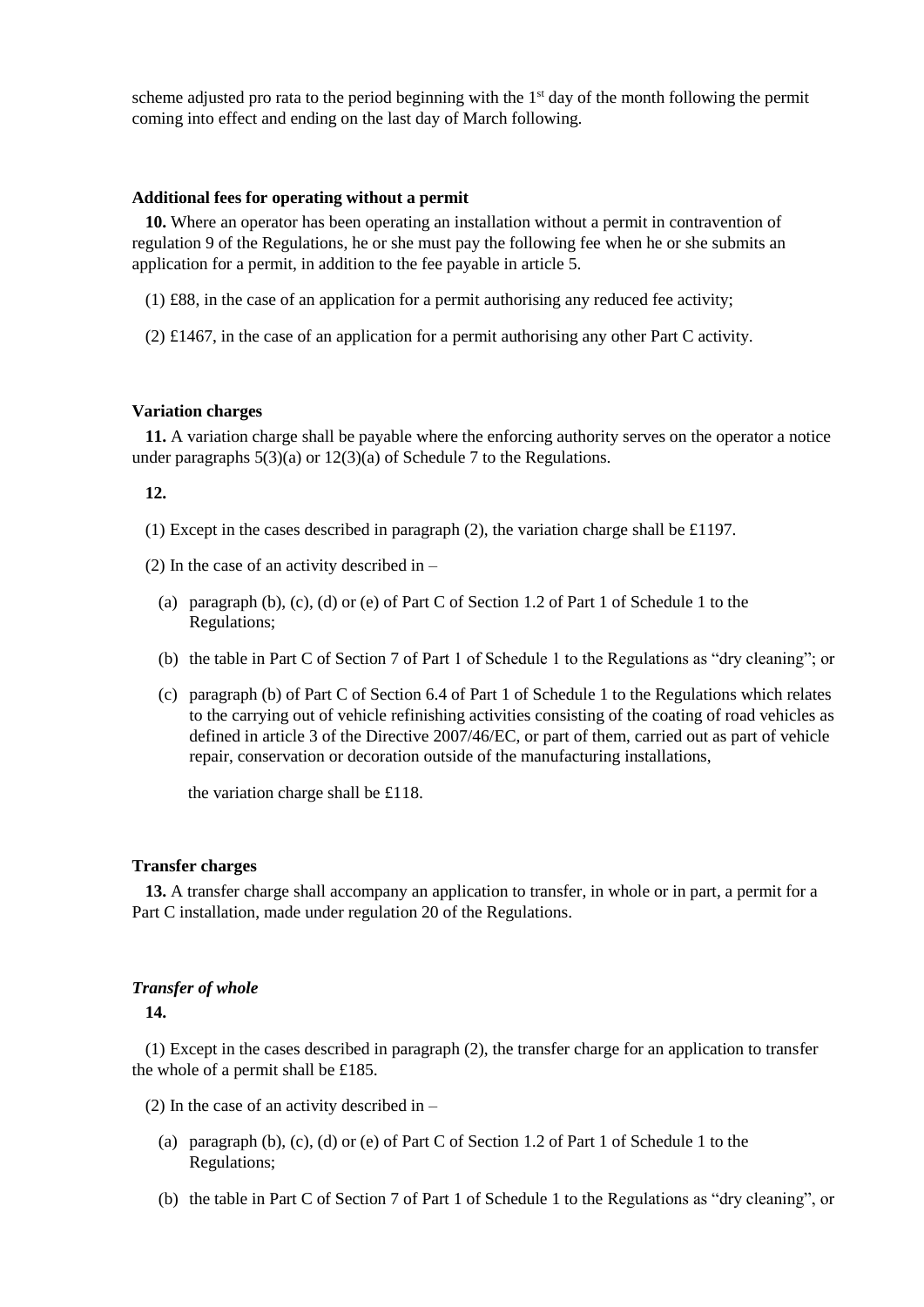scheme adjusted pro rata to the period beginning with the  $1<sup>st</sup>$  day of the month following the permit coming into effect and ending on the last day of March following.

## **Additional fees for operating without a permit**

**10.** Where an operator has been operating an installation without a permit in contravention of regulation 9 of the Regulations, he or she must pay the following fee when he or she submits an application for a permit, in addition to the fee payable in article 5.

- (1) £88, in the case of an application for a permit authorising any reduced fee activity;
- (2) £1467, in the case of an application for a permit authorising any other Part C activity.

#### **Variation charges**

**11.** A variation charge shall be payable where the enforcing authority serves on the operator a notice under paragraphs  $5(3)(a)$  or  $12(3)(a)$  of Schedule 7 to the Regulations.

#### **12.**

- (1) Except in the cases described in paragraph (2), the variation charge shall be £1197.
- (2) In the case of an activity described in
	- (a) paragraph (b), (c), (d) or (e) of Part C of Section 1.2 of Part 1 of Schedule 1 to the Regulations;
	- (b) the table in Part C of Section 7 of Part 1 of Schedule 1 to the Regulations as "dry cleaning"; or
	- (c) paragraph (b) of Part C of Section 6.4 of Part 1 of Schedule 1 to the Regulations which relates to the carrying out of vehicle refinishing activities consisting of the coating of road vehicles as defined in article 3 of the Directive 2007/46/EC, or part of them, carried out as part of vehicle repair, conservation or decoration outside of the manufacturing installations,

the variation charge shall be £118.

#### **Transfer charges**

**13.** A transfer charge shall accompany an application to transfer, in whole or in part, a permit for a Part C installation, made under regulation 20 of the Regulations.

### *Transfer of whole*

**14.**

(1) Except in the cases described in paragraph (2), the transfer charge for an application to transfer the whole of a permit shall be £185.

- (2) In the case of an activity described in  $-$ 
	- (a) paragraph (b), (c), (d) or (e) of Part C of Section 1.2 of Part 1 of Schedule 1 to the Regulations;
	- (b) the table in Part C of Section 7 of Part 1 of Schedule 1 to the Regulations as "dry cleaning", or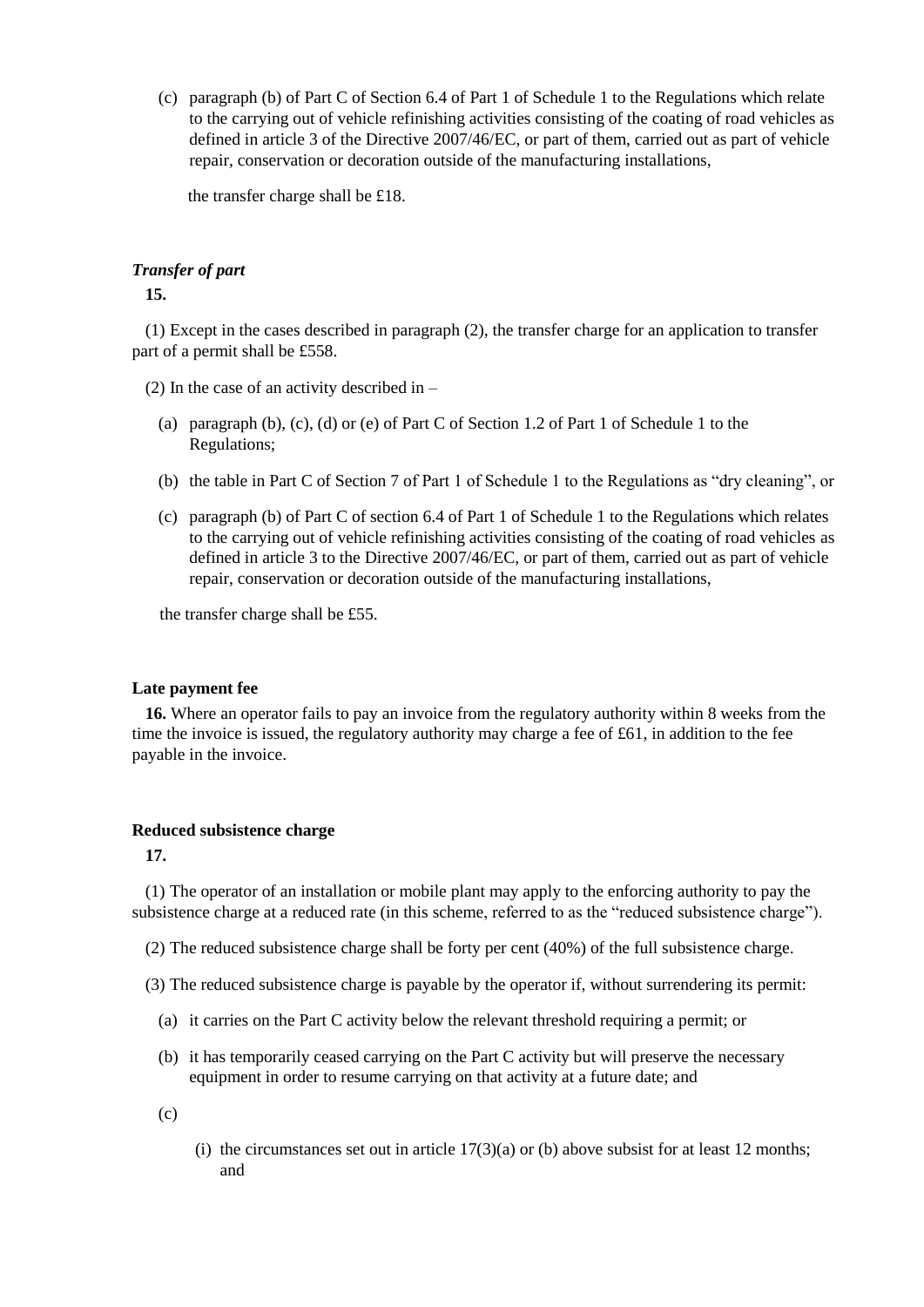(c) paragraph (b) of Part C of Section 6.4 of Part 1 of Schedule 1 to the Regulations which relate to the carrying out of vehicle refinishing activities consisting of the coating of road vehicles as defined in article 3 of the Directive 2007/46/EC, or part of them, carried out as part of vehicle repair, conservation or decoration outside of the manufacturing installations,

the transfer charge shall be £18.

## *Transfer of part*

**15.**

(1) Except in the cases described in paragraph (2), the transfer charge for an application to transfer part of a permit shall be £558.

(2) In the case of an activity described in  $-$ 

- (a) paragraph (b), (c), (d) or (e) of Part C of Section 1.2 of Part 1 of Schedule 1 to the Regulations;
- (b) the table in Part C of Section 7 of Part 1 of Schedule 1 to the Regulations as "dry cleaning", or
- (c) paragraph (b) of Part C of section 6.4 of Part 1 of Schedule 1 to the Regulations which relates to the carrying out of vehicle refinishing activities consisting of the coating of road vehicles as defined in article 3 to the Directive 2007/46/EC, or part of them, carried out as part of vehicle repair, conservation or decoration outside of the manufacturing installations,

the transfer charge shall be £55.

#### **Late payment fee**

**16.** Where an operator fails to pay an invoice from the regulatory authority within 8 weeks from the time the invoice is issued, the regulatory authority may charge a fee of  $\text{\pounds}61$ , in addition to the fee payable in the invoice.

## **Reduced subsistence charge**

**17.**

(1) The operator of an installation or mobile plant may apply to the enforcing authority to pay the subsistence charge at a reduced rate (in this scheme, referred to as the "reduced subsistence charge").

- (2) The reduced subsistence charge shall be forty per cent (40%) of the full subsistence charge.
- (3) The reduced subsistence charge is payable by the operator if, without surrendering its permit:
	- (a) it carries on the Part C activity below the relevant threshold requiring a permit; or
	- (b) it has temporarily ceased carrying on the Part C activity but will preserve the necessary equipment in order to resume carrying on that activity at a future date; and
	- $(c)$
- (i) the circumstances set out in article  $17(3)(a)$  or (b) above subsist for at least 12 months; and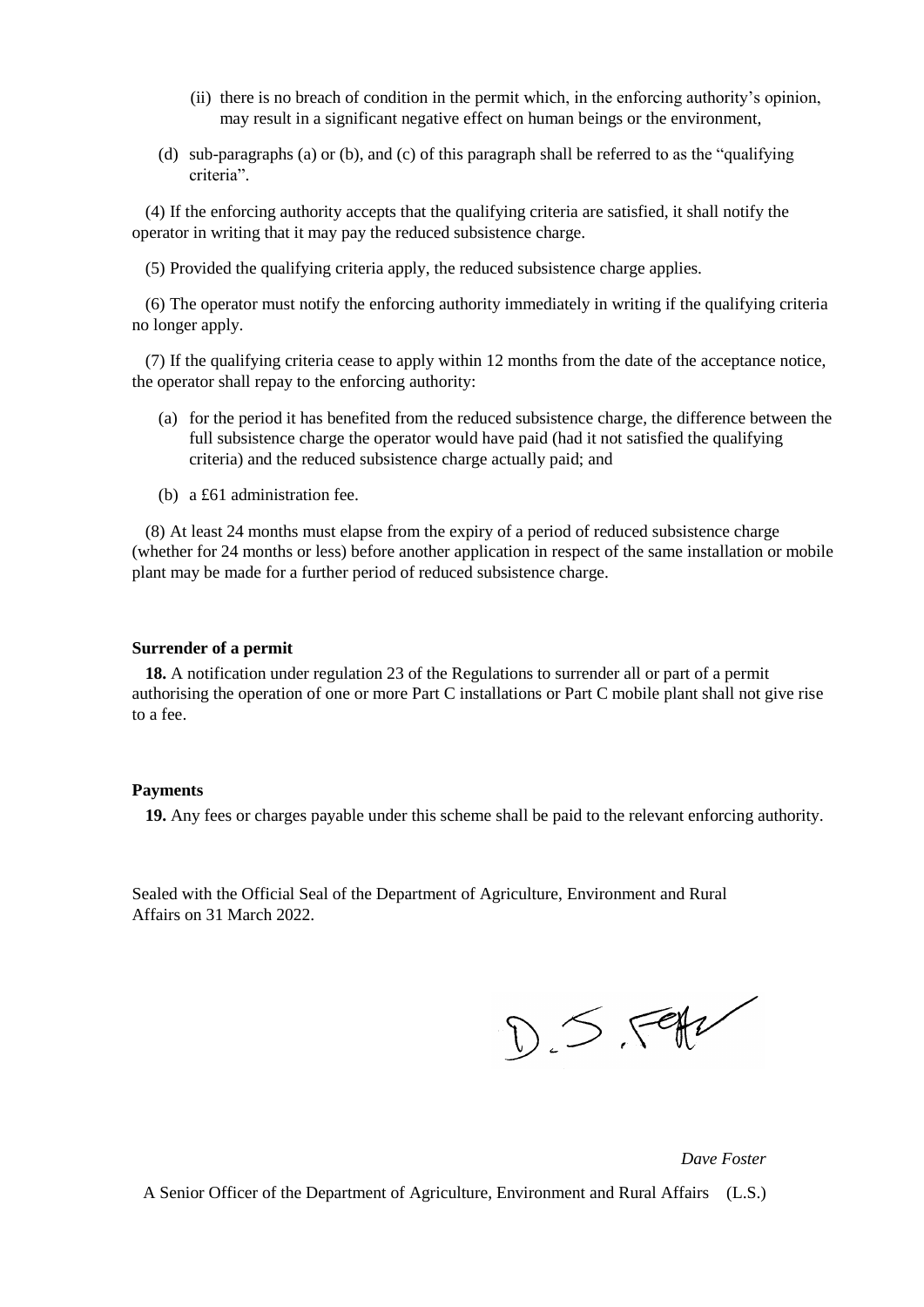- (ii) there is no breach of condition in the permit which, in the enforcing authority's opinion, may result in a significant negative effect on human beings or the environment,
- (d) sub-paragraphs (a) or (b), and (c) of this paragraph shall be referred to as the "qualifying criteria".

(4) If the enforcing authority accepts that the qualifying criteria are satisfied, it shall notify the operator in writing that it may pay the reduced subsistence charge.

(5) Provided the qualifying criteria apply, the reduced subsistence charge applies.

(6) The operator must notify the enforcing authority immediately in writing if the qualifying criteria no longer apply.

(7) If the qualifying criteria cease to apply within 12 months from the date of the acceptance notice, the operator shall repay to the enforcing authority:

- (a) for the period it has benefited from the reduced subsistence charge, the difference between the full subsistence charge the operator would have paid (had it not satisfied the qualifying criteria) and the reduced subsistence charge actually paid; and
- (b) a £61 administration fee.

(8) At least 24 months must elapse from the expiry of a period of reduced subsistence charge (whether for 24 months or less) before another application in respect of the same installation or mobile plant may be made for a further period of reduced subsistence charge.

#### **Surrender of a permit**

**18.** A notification under regulation 23 of the Regulations to surrender all or part of a permit authorising the operation of one or more Part C installations or Part C mobile plant shall not give rise to a fee.

#### **Payments**

**19.** Any fees or charges payable under this scheme shall be paid to the relevant enforcing authority.

Sealed with the Official Seal of the Department of Agriculture, Environment and Rural Affairs on 31 March 2022.

 $D.5.791$ 

*Dave Foster*

A Senior Officer of the Department of Agriculture, Environment and Rural Affairs (L.S.)